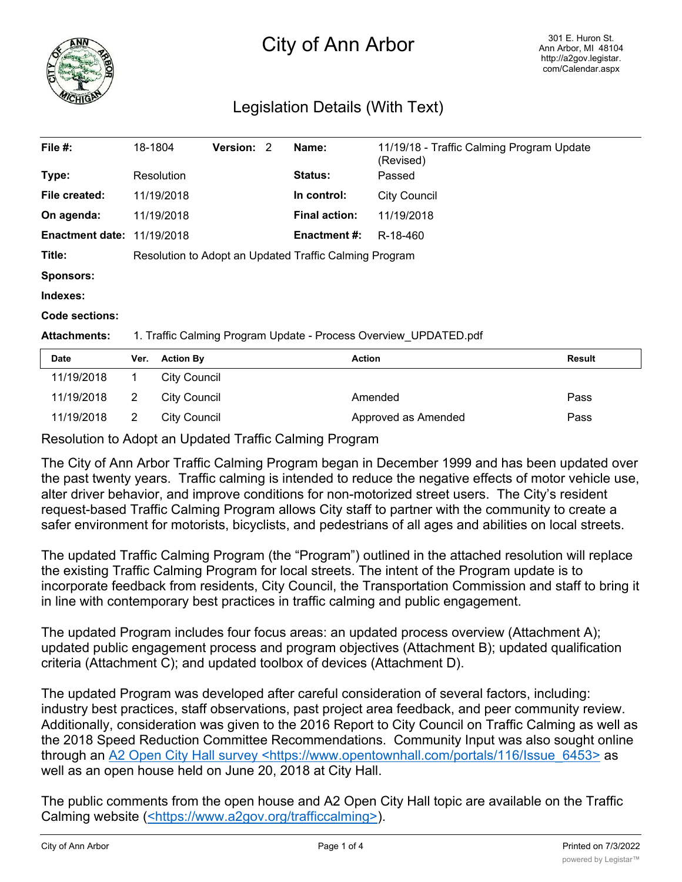

## City of Ann Arbor

## Legislation Details (With Text)

| File $#$ :                        | 18-1804                                                |                                                                  | <b>Version:</b> | 2 | Name:                | 11/19/18 - Traffic Calming Program Update<br>(Revised) |        |  |
|-----------------------------------|--------------------------------------------------------|------------------------------------------------------------------|-----------------|---|----------------------|--------------------------------------------------------|--------|--|
| Type:                             |                                                        | Resolution                                                       |                 |   | <b>Status:</b>       | Passed                                                 |        |  |
| File created:                     |                                                        | 11/19/2018                                                       |                 |   | In control:          | <b>City Council</b>                                    |        |  |
| On agenda:                        |                                                        | 11/19/2018                                                       |                 |   | <b>Final action:</b> | 11/19/2018                                             |        |  |
| <b>Enactment date: 11/19/2018</b> |                                                        |                                                                  |                 |   | <b>Enactment #:</b>  | R-18-460                                               |        |  |
| Title:                            | Resolution to Adopt an Updated Traffic Calming Program |                                                                  |                 |   |                      |                                                        |        |  |
| <b>Sponsors:</b>                  |                                                        |                                                                  |                 |   |                      |                                                        |        |  |
| Indexes:                          |                                                        |                                                                  |                 |   |                      |                                                        |        |  |
| Code sections:                    |                                                        |                                                                  |                 |   |                      |                                                        |        |  |
| <b>Attachments:</b>               |                                                        | 1. Traffic Calming Program Update - Process Overview UPDATED.pdf |                 |   |                      |                                                        |        |  |
| Date                              | Ver.                                                   | <b>Action By</b>                                                 |                 |   | <b>Action</b>        |                                                        | Result |  |
| 11/19/2018                        | 1                                                      | <b>City Council</b>                                              |                 |   |                      |                                                        |        |  |
| 11/19/2018                        | 2                                                      | <b>City Council</b>                                              |                 |   |                      | Amended                                                | Pass   |  |

Resolution to Adopt an Updated Traffic Calming Program

The City of Ann Arbor Traffic Calming Program began in December 1999 and has been updated over the past twenty years. Traffic calming is intended to reduce the negative effects of motor vehicle use, alter driver behavior, and improve conditions for non-motorized street users. The City's resident request-based Traffic Calming Program allows City staff to partner with the community to create a safer environment for motorists, bicyclists, and pedestrians of all ages and abilities on local streets.

11/19/2018 2 City Council **Approved as Amended** Pass

The updated Traffic Calming Program (the "Program") outlined in the attached resolution will replace the existing Traffic Calming Program for local streets. The intent of the Program update is to incorporate feedback from residents, City Council, the Transportation Commission and staff to bring it in line with contemporary best practices in traffic calming and public engagement.

The updated Program includes four focus areas: an updated process overview (Attachment A); updated public engagement process and program objectives (Attachment B); updated qualification criteria (Attachment C); and updated toolbox of devices (Attachment D).

The updated Program was developed after careful consideration of several factors, including: industry best practices, staff observations, past project area feedback, and peer community review. Additionally, consideration was given to the 2016 Report to City Council on Traffic Calming as well as the 2018 Speed Reduction Committee Recommendations. Community Input was also sought online through an A2 Open City Hall survey <https://www.opentownhall.com/portals/116/Issue 6453> as well as an open house held on June 20, 2018 at City Hall.

The public comments from the open house and A2 Open City Hall topic are available on the Traffic Calming website (<https://www.a2gov.org/trafficcalming>).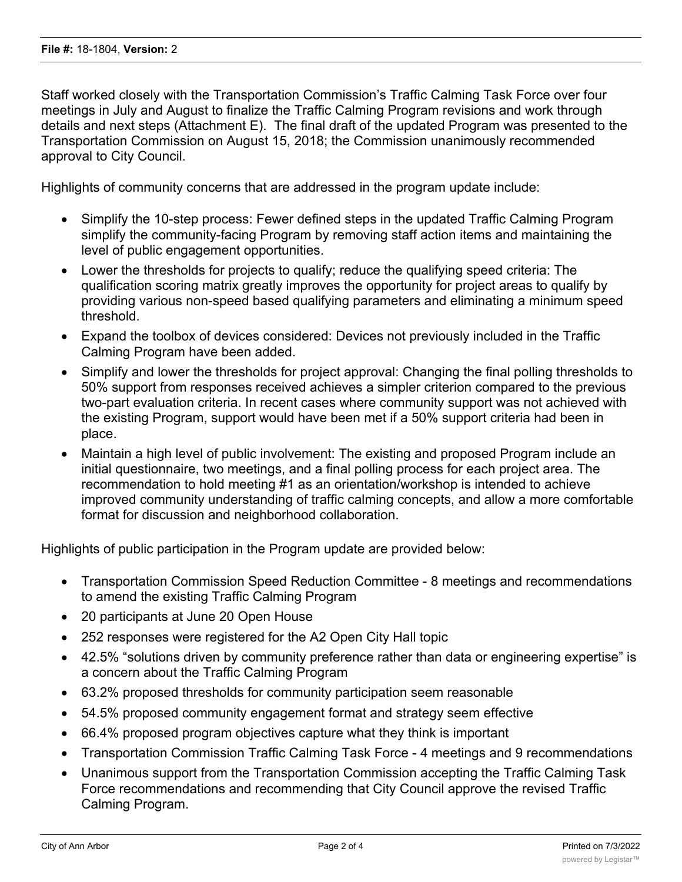Staff worked closely with the Transportation Commission's Traffic Calming Task Force over four meetings in July and August to finalize the Traffic Calming Program revisions and work through details and next steps (Attachment E). The final draft of the updated Program was presented to the Transportation Commission on August 15, 2018; the Commission unanimously recommended approval to City Council.

Highlights of community concerns that are addressed in the program update include:

- · Simplify the 10-step process: Fewer defined steps in the updated Traffic Calming Program simplify the community-facing Program by removing staff action items and maintaining the level of public engagement opportunities.
- · Lower the thresholds for projects to qualify; reduce the qualifying speed criteria: The qualification scoring matrix greatly improves the opportunity for project areas to qualify by providing various non-speed based qualifying parameters and eliminating a minimum speed threshold.
- · Expand the toolbox of devices considered: Devices not previously included in the Traffic Calming Program have been added.
- · Simplify and lower the thresholds for project approval: Changing the final polling thresholds to 50% support from responses received achieves a simpler criterion compared to the previous two-part evaluation criteria. In recent cases where community support was not achieved with the existing Program, support would have been met if a 50% support criteria had been in place.
- · Maintain a high level of public involvement: The existing and proposed Program include an initial questionnaire, two meetings, and a final polling process for each project area. The recommendation to hold meeting #1 as an orientation/workshop is intended to achieve improved community understanding of traffic calming concepts, and allow a more comfortable format for discussion and neighborhood collaboration.

Highlights of public participation in the Program update are provided below:

- · Transportation Commission Speed Reduction Committee 8 meetings and recommendations to amend the existing Traffic Calming Program
- · 20 participants at June 20 Open House
- · 252 responses were registered for the A2 Open City Hall topic
- · 42.5% "solutions driven by community preference rather than data or engineering expertise" is a concern about the Traffic Calming Program
- · 63.2% proposed thresholds for community participation seem reasonable
- · 54.5% proposed community engagement format and strategy seem effective
- 66.4% proposed program objectives capture what they think is important
- · Transportation Commission Traffic Calming Task Force 4 meetings and 9 recommendations
- · Unanimous support from the Transportation Commission accepting the Traffic Calming Task Force recommendations and recommending that City Council approve the revised Traffic Calming Program.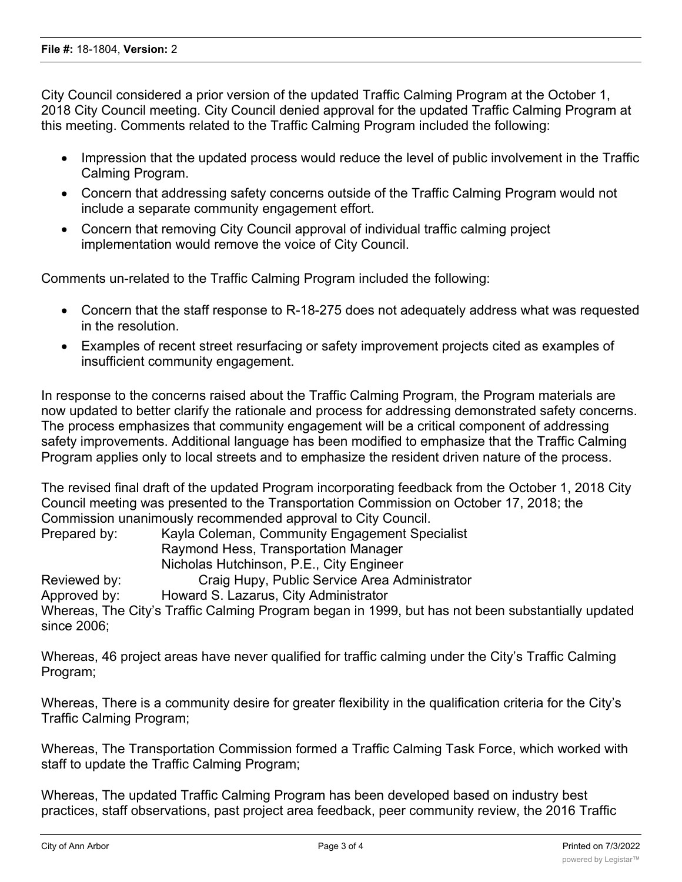City Council considered a prior version of the updated Traffic Calming Program at the October 1, 2018 City Council meeting. City Council denied approval for the updated Traffic Calming Program at this meeting. Comments related to the Traffic Calming Program included the following:

- · Impression that the updated process would reduce the level of public involvement in the Traffic Calming Program.
- · Concern that addressing safety concerns outside of the Traffic Calming Program would not include a separate community engagement effort.
- · Concern that removing City Council approval of individual traffic calming project implementation would remove the voice of City Council.

Comments un-related to the Traffic Calming Program included the following:

- · Concern that the staff response to R-18-275 does not adequately address what was requested in the resolution.
- · Examples of recent street resurfacing or safety improvement projects cited as examples of insufficient community engagement.

In response to the concerns raised about the Traffic Calming Program, the Program materials are now updated to better clarify the rationale and process for addressing demonstrated safety concerns. The process emphasizes that community engagement will be a critical component of addressing safety improvements. Additional language has been modified to emphasize that the Traffic Calming Program applies only to local streets and to emphasize the resident driven nature of the process.

The revised final draft of the updated Program incorporating feedback from the October 1, 2018 City Council meeting was presented to the Transportation Commission on October 17, 2018; the Commission unanimously recommended approval to City Council.

Prepared by: Kayla Coleman, Community Engagement Specialist Raymond Hess, Transportation Manager Nicholas Hutchinson, P.E., City Engineer Reviewed by: Craig Hupy, Public Service Area Administrator Approved by: Howard S. Lazarus, City Administrator Whereas, The City's Traffic Calming Program began in 1999, but has not been substantially updated since 2006;

Whereas, 46 project areas have never qualified for traffic calming under the City's Traffic Calming Program;

Whereas, There is a community desire for greater flexibility in the qualification criteria for the City's Traffic Calming Program;

Whereas, The Transportation Commission formed a Traffic Calming Task Force, which worked with staff to update the Traffic Calming Program;

Whereas, The updated Traffic Calming Program has been developed based on industry best practices, staff observations, past project area feedback, peer community review, the 2016 Traffic